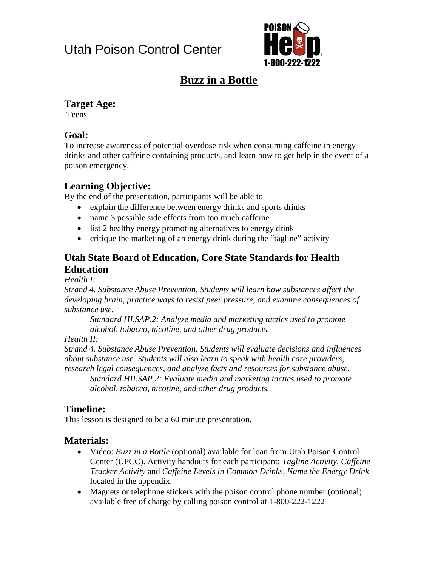# Utah Poison Control Center



# **Buzz in a Bottle**

#### **Target Age:**

**Teens** 

#### **Goal:**

To increase awareness of potential overdose risk when consuming caffeine in energy drinks and other caffeine containing products, and learn how to get help in the event of a poison emergency.

### **Learning Objective:**

By the end of the presentation, participants will be able to

- explain the difference between energy drinks and sports drinks
- name 3 possible side effects from too much caffeine
- list 2 healthy energy promoting alternatives to energy drink
- critique the marketing of an energy drink during the "tagline" activity

#### **Utah State Board of Education, Core State Standards for Health Education**

*Health I:*

*Strand 4. Substance Abuse Prevention. Students will learn how substances affect the developing brain, practice ways to resist peer pressure, and examine consequences of substance use.*

*Standard HI.SAP.2: Analyze media and marketing tactics used to promote alcohol, tobacco, nicotine, and other drug products.* 

*Health II:*

*Strand 4. Substance Abuse Prevention. Students will evaluate decisions and influences about substance use. Students will also learn to speak with health care providers, research legal consequences, and analyze facts and resources for substance abuse.* 

*Standard HII.SAP.2: Evaluate media and marketing tactics used to promote alcohol, tobacco, nicotine, and other drug products.* 

### **Timeline:**

This lesson is designed to be a 60 minute presentation.

#### **Materials:**

- Video: *Buzz in a Bottle* (optional) available for loan from Utah Poison Control Center (UPCC). Activity handouts for each participant: *Tagline Activity, Caffeine Tracker Activity* and *Caffeine Levels in Common Drinks, Name the Energy Drink* located in the appendix.
- Magnets or telephone stickers with the poison control phone number (optional) available free of charge by calling poison control at 1-800-222-1222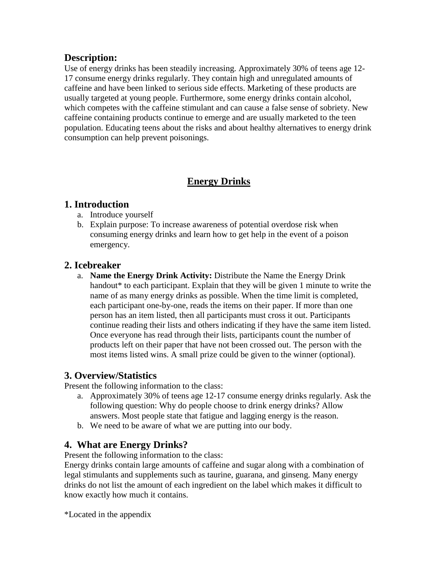#### **Description:**

Use of energy drinks has been steadily increasing. Approximately 30% of teens age 12- 17 consume energy drinks regularly. They contain high and unregulated amounts of caffeine and have been linked to serious side effects. Marketing of these products are usually targeted at young people. Furthermore, some energy drinks contain alcohol, which competes with the caffeine stimulant and can cause a false sense of sobriety. New caffeine containing products continue to emerge and are usually marketed to the teen population. Educating teens about the risks and about healthy alternatives to energy drink consumption can help prevent poisonings.

#### **Energy Drinks**

#### **1. Introduction**

- a. Introduce yourself
- b. Explain purpose: To increase awareness of potential overdose risk when consuming energy drinks and learn how to get help in the event of a poison emergency.

#### **2. Icebreaker**

a. **Name the Energy Drink Activity:** Distribute the Name the Energy Drink handout<sup>\*</sup> to each participant. Explain that they will be given 1 minute to write the name of as many energy drinks as possible. When the time limit is completed, each participant one-by-one, reads the items on their paper. If more than one person has an item listed, then all participants must cross it out. Participants continue reading their lists and others indicating if they have the same item listed. Once everyone has read through their lists, participants count the number of products left on their paper that have not been crossed out. The person with the most items listed wins. A small prize could be given to the winner (optional).

#### **3. Overview/Statistics**

Present the following information to the class:

- a. Approximately 30% of teens age 12-17 consume energy drinks regularly. Ask the following question: Why do people choose to drink energy drinks? Allow answers. Most people state that fatigue and lagging energy is the reason.
- b. We need to be aware of what we are putting into our body.

#### **4. What are Energy Drinks?**

Present the following information to the class:

Energy drinks contain large amounts of caffeine and sugar along with a combination of legal stimulants and supplements such as taurine, guarana, and ginseng. Many energy drinks do not list the amount of each ingredient on the label which makes it difficult to know exactly how much it contains.

\*Located in the appendix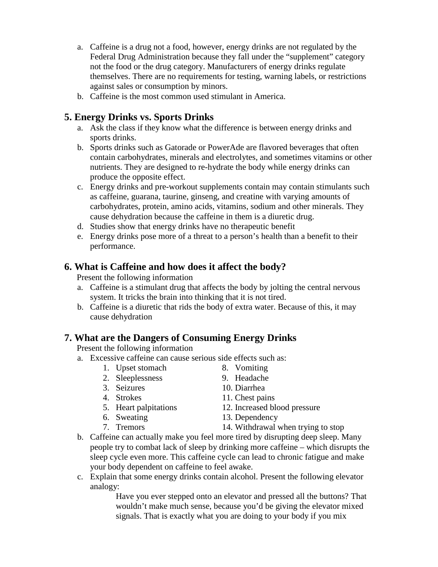- a. Caffeine is a drug not a food, however, energy drinks are not regulated by the Federal Drug Administration because they fall under the "supplement" category not the food or the drug category. Manufacturers of energy drinks regulate themselves. There are no requirements for testing, warning labels, or restrictions against sales or consumption by minors.
- b. Caffeine is the most common used stimulant in America.

#### **5. Energy Drinks vs. Sports Drinks**

- a. Ask the class if they know what the difference is between energy drinks and sports drinks.
- b. Sports drinks such as Gatorade or PowerAde are flavored beverages that often contain carbohydrates, minerals and electrolytes, and sometimes vitamins or other nutrients. They are designed to re-hydrate the body while energy drinks can produce the opposite effect.
- c. Energy drinks and pre-workout supplements contain may contain stimulants such as caffeine, guarana, taurine, ginseng, and creatine with varying amounts of carbohydrates, protein, amino acids, vitamins, sodium and other minerals. They cause dehydration because the caffeine in them is a diuretic drug.
- d. Studies show that energy drinks have no therapeutic benefit
- e. Energy drinks pose more of a threat to a person's health than a benefit to their performance.

#### **6. What is Caffeine and how does it affect the body?**

Present the following information

- a. Caffeine is a stimulant drug that affects the body by jolting the central nervous system. It tricks the brain into thinking that it is not tired.
- b. Caffeine is a diuretic that rids the body of extra water. Because of this, it may cause dehydration

#### **7. What are the Dangers of Consuming Energy Drinks**

Present the following information

- a. Excessive caffeine can cause serious side effects such as:
	- 1. Upset stomach

2. Sleeplessness

- 3. Seizures
- 4. Strokes
- 5. Heart palpitations
- 6. Sweating
- 14. Withdrawal when trying to stop
- b. Caffeine can actually make you feel more tired by disrupting deep sleep. Many people try to combat lack of sleep by drinking more caffeine – which disrupts the sleep cycle even more. This caffeine cycle can lead to chronic fatigue and make your body dependent on caffeine to feel awake.
- c. Explain that some energy drinks contain alcohol. Present the following elevator analogy:

Have you ever stepped onto an elevator and pressed all the buttons? That wouldn't make much sense, because you'd be giving the elevator mixed signals. That is exactly what you are doing to your body if you mix

- 8. Vomiting 9. Headache
- 10. Diarrhea
- 
- 11. Chest pains
- 12. Increased blood pressure
- 13. Dependency
- 
- 
- 7. Tremors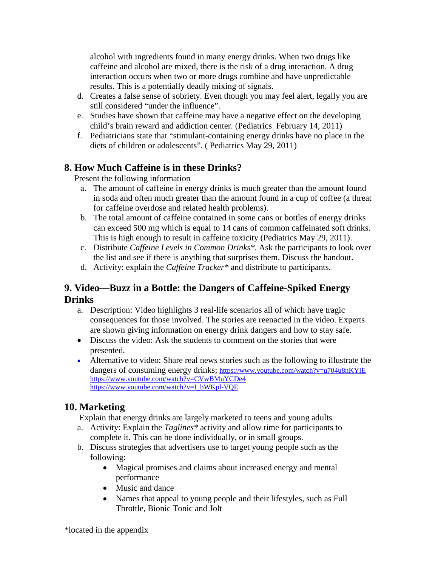alcohol with ingredients found in many energy drinks. When two drugs like caffeine and alcohol are mixed, there is the risk of a drug interaction. A drug interaction occurs when two or more drugs combine and have unpredictable results. This is a potentially deadly mixing of signals.

- d. Creates a false sense of sobriety. Even though you may feel alert, legally you are still considered "under the influence".
- e. Studies have shown that caffeine may have a negative effect on the developing child's brain reward and addiction center. (Pediatrics February 14, 2011)
- f. Pediatricians state that "stimulant-containing energy drinks have no place in the diets of children or adolescents". ( Pediatrics May 29, 2011)

#### **8. How Much Caffeine is in these Drinks?**

Present the following information

- a. The amount of caffeine in energy drinks is much greater than the amount found in soda and often much greater than the amount found in a cup of coffee (a threat for caffeine overdose and related health problems).
- b. The total amount of caffeine contained in some cans or bottles of energy drinks can exceed 500 mg which is equal to 14 cans of common caffeinated soft drinks. This is high enough to result in caffeine toxicity (Pediatrics May 29, 2011).
- c. Distribute *Caffeine Levels in Common Drinks\**. Ask the participants to look over the list and see if there is anything that surprises them. Discuss the handout.
- d. Activity: explain the *Caffeine Tracker\** and distribute to participants.

#### **9. Video—Buzz in a Bottle: the Dangers of Caffeine-Spiked Energy Drinks**

- a. Description: Video highlights 3 real-life scenarios all of which have tragic consequences for those involved. The stories are reenacted in the video. Experts are shown giving information on energy drink dangers and how to stay safe.
- Discuss the video: Ask the students to comment on the stories that were presented.
- Alternative to video: Share real news stories such as the following to illustrate the dangers of consuming energy drinks; <https://www.youtube.com/watch?v=u704u8nKYIE> <https://www.youtube.com/watch?v=CVwBMuYCDe4> [https://www.youtube.com/watch?v=I\\_bWKpl-VQE](https://www.youtube.com/watch?v=I_bWKpl-VQE)

#### **10. Marketing**

Explain that energy drinks are largely marketed to teens and young adults

- a. Activity: Explain the *Taglines\** activity and allow time for participants to complete it. This can be done individually, or in small groups.
- b. Discuss strategies that advertisers use to target young people such as the following:
	- Magical promises and claims about increased energy and mental performance
	- Music and dance
	- Names that appeal to young people and their lifestyles, such as Full Throttle, Bionic Tonic and Jolt

\*located in the appendix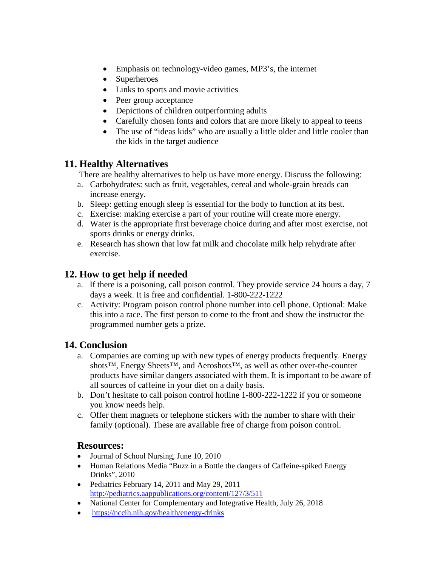- Emphasis on technology-video games, MP3's, the internet
- Superheroes
- Links to sports and movie activities
- Peer group acceptance
- Depictions of children outperforming adults
- Carefully chosen fonts and colors that are more likely to appeal to teens
- The use of "ideas kids" who are usually a little older and little cooler than the kids in the target audience

#### **11. Healthy Alternatives**

There are healthy alternatives to help us have more energy. Discuss the following:

- a. Carbohydrates: such as fruit, vegetables, cereal and whole-grain breads can increase energy.
- b. Sleep: getting enough sleep is essential for the body to function at its best.
- c. Exercise: making exercise a part of your routine will create more energy.
- d. Water is the appropriate first beverage choice during and after most exercise, not sports drinks or energy drinks.
- e. Research has shown that low fat milk and chocolate milk help rehydrate after exercise.

#### **12. How to get help if needed**

- a. If there is a poisoning, call poison control. They provide service 24 hours a day, 7 days a week. It is free and confidential. 1-800-222-1222
- c. Activity: Program poison control phone number into cell phone. Optional: Make this into a race. The first person to come to the front and show the instructor the programmed number gets a prize.

#### **14. Conclusion**

- a. Companies are coming up with new types of energy products frequently. Energy shots™, Energy Sheets™, and Aeroshots™, as well as other over-the-counter products have similar dangers associated with them. It is important to be aware of all sources of caffeine in your diet on a daily basis.
- b. Don't hesitate to call poison control hotline 1-800-222-1222 if you or someone you know needs help.
- c. Offer them magnets or telephone stickers with the number to share with their family (optional). These are available free of charge from poison control.

#### **Resources:**

- Journal of School Nursing, June 10, 2010
- Human Relations Media "Buzz in a Bottle the dangers of Caffeine-spiked Energy Drinks", 2010
- Pediatrics February 14, 2011 and May 29, 2011 <http://pediatrics.aappublications.org/content/127/3/511>
- National Center for Complementary and Integrative Health, July 26, 2018
- <https://nccih.nih.gov/health/energy-drinks>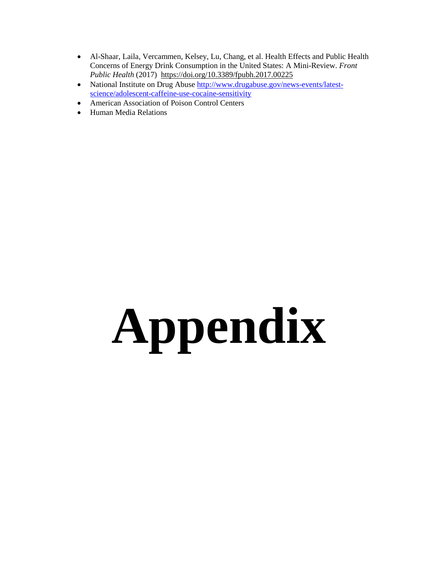- Al-Shaar, Laila, Vercammen, Kelsey, Lu, Chang, et al. Health Effects and Public Health Concerns of Energy Drink Consumption in the United States: A Mini-Review. *Front Public Health* (2017) <https://doi.org/10.3389/fpubh.2017.00225>
- National Institute on Drug Abuse [http://www.drugabuse.gov/news-events/latest](http://www.drugabuse.gov/news-events/latest-science/adolescent-caffeine-use-cocaine-sensitivity)[science/adolescent-caffeine-use-cocaine-sensitivity](http://www.drugabuse.gov/news-events/latest-science/adolescent-caffeine-use-cocaine-sensitivity)
- American Association of Poison Control Centers
- Human Media Relations

# **Appendix**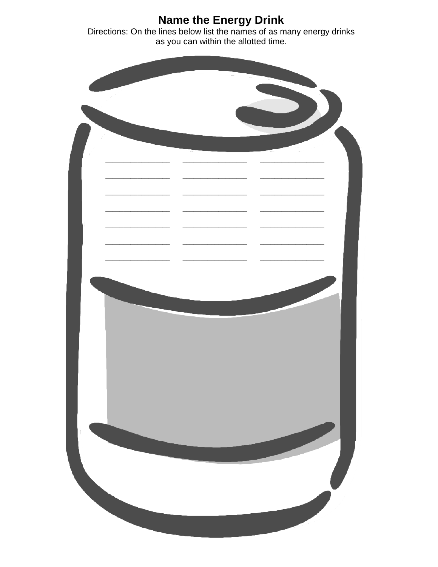**Name the Energy Drink**<br>Directions: On the lines below list the names of as many energy drinks<br>as you can within the allotted time.

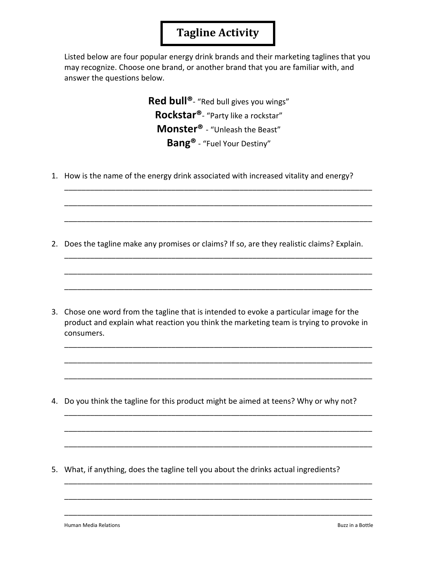## **Tagline Activity**

Listed below are four popular energy drink brands and their marketing taglines that you may recognize. Choose one brand, or another brand that you are familiar with, and answer the questions below.

> **Red bull®**- "Red bull gives you wings" **Rockstar®**- "Party like a rockstar" **Monster®** - "Unleash the Beast" **Bang®** - "Fuel Your Destiny"

\_\_\_\_\_\_\_\_\_\_\_\_\_\_\_\_\_\_\_\_\_\_\_\_\_\_\_\_\_\_\_\_\_\_\_\_\_\_\_\_\_\_\_\_\_\_\_\_\_\_\_\_\_\_\_\_\_\_\_\_\_\_\_\_\_\_\_\_\_\_\_\_

\_\_\_\_\_\_\_\_\_\_\_\_\_\_\_\_\_\_\_\_\_\_\_\_\_\_\_\_\_\_\_\_\_\_\_\_\_\_\_\_\_\_\_\_\_\_\_\_\_\_\_\_\_\_\_\_\_\_\_\_\_\_\_\_\_\_\_\_\_\_\_\_

\_\_\_\_\_\_\_\_\_\_\_\_\_\_\_\_\_\_\_\_\_\_\_\_\_\_\_\_\_\_\_\_\_\_\_\_\_\_\_\_\_\_\_\_\_\_\_\_\_\_\_\_\_\_\_\_\_\_\_\_\_\_\_\_\_\_\_\_\_\_\_\_

\_\_\_\_\_\_\_\_\_\_\_\_\_\_\_\_\_\_\_\_\_\_\_\_\_\_\_\_\_\_\_\_\_\_\_\_\_\_\_\_\_\_\_\_\_\_\_\_\_\_\_\_\_\_\_\_\_\_\_\_\_\_\_\_\_\_\_\_\_\_\_\_

\_\_\_\_\_\_\_\_\_\_\_\_\_\_\_\_\_\_\_\_\_\_\_\_\_\_\_\_\_\_\_\_\_\_\_\_\_\_\_\_\_\_\_\_\_\_\_\_\_\_\_\_\_\_\_\_\_\_\_\_\_\_\_\_\_\_\_\_\_\_\_\_

\_\_\_\_\_\_\_\_\_\_\_\_\_\_\_\_\_\_\_\_\_\_\_\_\_\_\_\_\_\_\_\_\_\_\_\_\_\_\_\_\_\_\_\_\_\_\_\_\_\_\_\_\_\_\_\_\_\_\_\_\_\_\_\_\_\_\_\_\_\_\_\_

\_\_\_\_\_\_\_\_\_\_\_\_\_\_\_\_\_\_\_\_\_\_\_\_\_\_\_\_\_\_\_\_\_\_\_\_\_\_\_\_\_\_\_\_\_\_\_\_\_\_\_\_\_\_\_\_\_\_\_\_\_\_\_\_\_\_\_\_\_\_\_\_

\_\_\_\_\_\_\_\_\_\_\_\_\_\_\_\_\_\_\_\_\_\_\_\_\_\_\_\_\_\_\_\_\_\_\_\_\_\_\_\_\_\_\_\_\_\_\_\_\_\_\_\_\_\_\_\_\_\_\_\_\_\_\_\_\_\_\_\_\_\_\_\_

\_\_\_\_\_\_\_\_\_\_\_\_\_\_\_\_\_\_\_\_\_\_\_\_\_\_\_\_\_\_\_\_\_\_\_\_\_\_\_\_\_\_\_\_\_\_\_\_\_\_\_\_\_\_\_\_\_\_\_\_\_\_\_\_\_\_\_\_\_\_\_\_

\_\_\_\_\_\_\_\_\_\_\_\_\_\_\_\_\_\_\_\_\_\_\_\_\_\_\_\_\_\_\_\_\_\_\_\_\_\_\_\_\_\_\_\_\_\_\_\_\_\_\_\_\_\_\_\_\_\_\_\_\_\_\_\_\_\_\_\_\_\_\_\_

\_\_\_\_\_\_\_\_\_\_\_\_\_\_\_\_\_\_\_\_\_\_\_\_\_\_\_\_\_\_\_\_\_\_\_\_\_\_\_\_\_\_\_\_\_\_\_\_\_\_\_\_\_\_\_\_\_\_\_\_\_\_\_\_\_\_\_\_\_\_\_\_

\_\_\_\_\_\_\_\_\_\_\_\_\_\_\_\_\_\_\_\_\_\_\_\_\_\_\_\_\_\_\_\_\_\_\_\_\_\_\_\_\_\_\_\_\_\_\_\_\_\_\_\_\_\_\_\_\_\_\_\_\_\_\_\_\_\_\_\_\_\_\_\_

\_\_\_\_\_\_\_\_\_\_\_\_\_\_\_\_\_\_\_\_\_\_\_\_\_\_\_\_\_\_\_\_\_\_\_\_\_\_\_\_\_\_\_\_\_\_\_\_\_\_\_\_\_\_\_\_\_\_\_\_\_\_\_\_\_\_\_\_\_\_\_\_

\_\_\_\_\_\_\_\_\_\_\_\_\_\_\_\_\_\_\_\_\_\_\_\_\_\_\_\_\_\_\_\_\_\_\_\_\_\_\_\_\_\_\_\_\_\_\_\_\_\_\_\_\_\_\_\_\_\_\_\_\_\_\_\_\_\_\_\_\_\_\_\_

\_\_\_\_\_\_\_\_\_\_\_\_\_\_\_\_\_\_\_\_\_\_\_\_\_\_\_\_\_\_\_\_\_\_\_\_\_\_\_\_\_\_\_\_\_\_\_\_\_\_\_\_\_\_\_\_\_\_\_\_\_\_\_\_\_\_\_\_\_\_\_\_

1. How is the name of the energy drink associated with increased vitality and energy?

2. Does the tagline make any promises or claims? If so, are they realistic claims? Explain.

3. Chose one word from the tagline that is intended to evoke a particular image for the product and explain what reaction you think the marketing team is trying to provoke in consumers.

4. Do you think the tagline for this product might be aimed at teens? Why or why not?

5. What, if anything, does the tagline tell you about the drinks actual ingredients?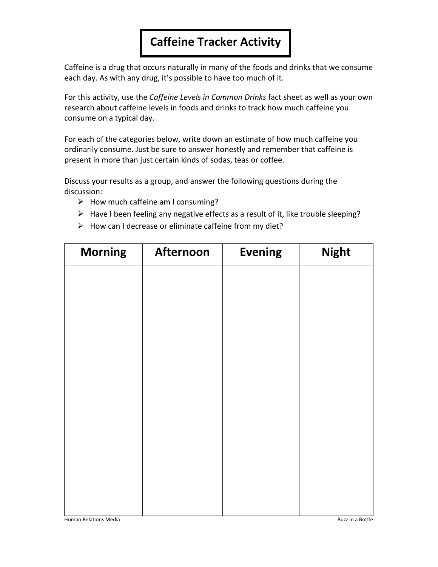# **Caffeine Tracker Activity**

Caffeine is a drug that occurs naturally in many of the foods and drinks that we consume each day. As with any drug, it's possible to have too much of it.

For this activity, use the *Caffeine Levels in Common Drinks* fact sheet as well as your own research about caffeine levels in foods and drinks to track how much caffeine you consume on a typical day.

For each of the categories below, write down an estimate of how much caffeine you ordinarily consume. Just be sure to answer honestly and remember that caffeine is present in more than just certain kinds of sodas, teas or coffee.

Discuss your results as a group, and answer the following questions during the discussion:

- $\triangleright$  How much caffeine am I consuming?
- $\triangleright$  Have I been feeling any negative effects as a result of it, like trouble sleeping?
- $\triangleright$  How can I decrease or eliminate caffeine from my diet?

| <b>Morning</b> | <b>Afternoon</b> | <b>Evening</b> | <b>Night</b> |
|----------------|------------------|----------------|--------------|
|                |                  |                |              |
|                |                  |                |              |
|                |                  |                |              |
|                |                  |                |              |
|                |                  |                |              |
|                |                  |                |              |
|                |                  |                |              |
|                |                  |                |              |
|                |                  |                |              |
|                |                  |                |              |
|                |                  |                |              |
|                |                  |                |              |
|                |                  |                |              |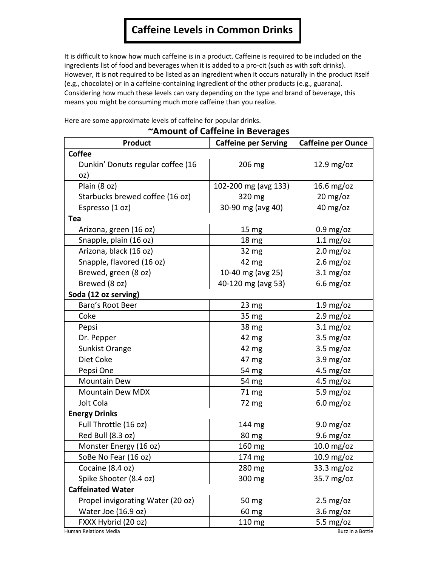# **Caffeine Levels in Common Drinks**

It is difficult to know how much caffeine is in a product. Caffeine is required to be included on the ingredients list of food and beverages when it is added to a pro-cit (such as with soft drinks). However, it is not required to be listed as an ingredient when it occurs naturally in the product itself (e.g., chocolate) or in a caffeine-containing ingredient of the other products (e.g., guarana). Considering how much these levels can vary depending on the type and brand of beverage, this means you might be consuming much more caffeine than you realize.

Here are some approximate levels of caffeine for popular drinks.

#### **~Amount of Caffeine in Beverages**

| <b>Product</b>                    | <b>Caffeine per Serving</b> | <b>Caffeine per Ounce</b>   |  |  |
|-----------------------------------|-----------------------------|-----------------------------|--|--|
| <b>Coffee</b>                     |                             |                             |  |  |
| Dunkin' Donuts regular coffee (16 | 206 mg                      | $12.9$ mg/oz                |  |  |
| oz)                               |                             |                             |  |  |
| Plain (8 oz)                      | 102-200 mg (avg 133)        | $16.6$ mg/oz                |  |  |
| Starbucks brewed coffee (16 oz)   | 320 mg                      | $20 \text{ mg}/\text{oz}$   |  |  |
| Espresso (1 oz)                   | 30-90 mg (avg 40)           | 40 mg/oz                    |  |  |
| Tea                               |                             |                             |  |  |
| Arizona, green (16 oz)            | 15 <sub>mg</sub>            | $0.9 \text{ mg}/\text{oz}$  |  |  |
| Snapple, plain (16 oz)            | 18 mg                       | $1.1 \text{ mg}/\text{oz}$  |  |  |
| Arizona, black (16 oz)            | 32 mg                       | $2.0$ mg/oz                 |  |  |
| Snapple, flavored (16 oz)         | 42 mg                       | $2.6$ mg/oz                 |  |  |
| Brewed, green (8 oz)              | 10-40 mg (avg 25)           | $3.1 \text{ mg}/\text{oz}$  |  |  |
| Brewed (8 oz)                     | 40-120 mg (avg 53)          | $6.6$ mg/oz                 |  |  |
| Soda (12 oz serving)              |                             |                             |  |  |
| Barg's Root Beer                  | 23 <sub>mg</sub>            | $1.9 \text{ mg}/\text{oz}$  |  |  |
| Coke                              | 35 mg                       | $2.9 \text{ mg}/\text{oz}$  |  |  |
| Pepsi                             | 38 mg                       | $3.1 \text{ mg}/\text{oz}$  |  |  |
| Dr. Pepper                        | 42 mg                       | $3.5 \text{ mg}/\text{oz}$  |  |  |
| Sunkist Orange                    | 42 mg                       | $3.5 \text{ mg}/\text{oz}$  |  |  |
| Diet Coke                         | 47 mg                       | $3.9 \text{ mg}/\text{oz}$  |  |  |
| Pepsi One                         | 54 mg                       | $4.5 \text{ mg}/\text{oz}$  |  |  |
| <b>Mountain Dew</b>               | 54 mg                       | $4.5 \text{ mg}/\text{oz}$  |  |  |
| <b>Mountain Dew MDX</b>           | 71 mg                       | 5.9 $mg/oz$                 |  |  |
| Jolt Cola                         | 72 mg                       | $6.0$ mg/oz                 |  |  |
| <b>Energy Drinks</b>              |                             |                             |  |  |
| Full Throttle (16 oz)             | 144 mg                      | $9.0 \text{ mg}/\text{oz}$  |  |  |
| Red Bull (8.3 oz)                 | 80 mg                       | $9.6$ mg/oz                 |  |  |
| Monster Energy (16 oz)            | 160 mg                      | 10.0 mg/oz                  |  |  |
| SoBe No Fear (16 oz)              | 174 mg                      | $10.9$ mg/oz                |  |  |
| Cocaine (8.4 oz)                  | 280 mg                      | $33.3 \text{ mg}/\text{oz}$ |  |  |
| Spike Shooter (8.4 oz)            | 300 mg                      | 35.7 mg/oz                  |  |  |
| <b>Caffeinated Water</b>          |                             |                             |  |  |
| Propel invigorating Water (20 oz) | 50 mg                       | $2.5 \text{ mg}/\text{oz}$  |  |  |
| Water Joe (16.9 oz)               | 60 mg                       | $3.6 \text{ mg}/\text{o}$ z |  |  |
| FXXX Hybrid (20 oz)               | 110 mg                      | 5.5 mg/oz                   |  |  |
| <b>Human Relations Media</b>      |                             | Buzz in a Bottle            |  |  |